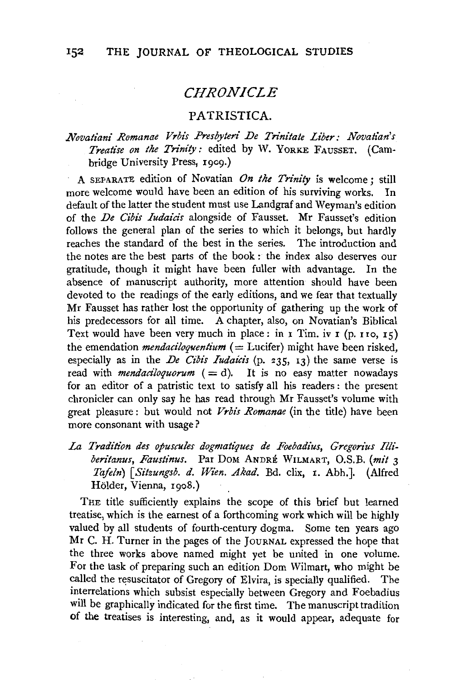# *CHRONICLE*

### PATRISTICA.

## *Novatiani Romanae Vrbis Presbyteri De Trinitate Liber: Novatian's Treatise on the Trinity:* edited by W. YORKE FAUSSET. (Cambridge University Press, 1909.)

A SEPARATE edition of Novatian *On the Trinity* is welcome: still more welcome would have been an edition of his surviving works. In default of the latter the student must use Landgraf and Weyman's edition of the *De Cibis Iudaicis* alongside of Fausset. Mr Fausset's edition follows the general plan of the series to which it belongs, but hardly reaches the standard of the best in the series. The introduction and the notes are the best parts of the book : the index also deserves our gratitude, though it might have been fuller with advantage. In the absence of manuscript authority, more attention should have been devoted to the readings of the early editions, and we fear that textually Mr Fausset has rather lost the opportunity of gathering up the work of his predecessors for all time. A chapter, also, on Novatian's Biblical Text would have been very much in place: in  $\mathbf{r}$  Tim. iv  $\mathbf{r}$  (p. 110, 15) the emendation *mendaciloquentium* ( $=$  Lucifer) might have been risked, especially as in the *De Cibis Iudaicis* (p. 235, 13) the same verse is read with *mendaciloquorum*  $( = d)$ . It is no easy matter nowadays for an editor of a patristic text to satisfy all his readers : the present chronicler can only say he has read through Mr Fausset's volume with great pleasure : but would not *Vrbis Romanae* (in the title) have been more consonant with usage?

La Tradition des opuscules dogmatiques de Foebadius, Gregorius Illi*beritanus, Faustinus.* Par DoM ANDRE WILMART, O.S.B. *(mit* 3 *Tafeln) [Sitzungsb. d. Wien. Akad.* Bd. clix, r. Abh.]. (Alfred Hölder, Vienna, 1908.)

THE title sufficiently explains the scope of this brief but learned treatise, which is the earnest of a forthcoming work which will be highly valued by all students of fourth-century dogma. Some ten years ago Mr C. H. Turner in the pages of the JOURNAL expressed the hope that the three works above named might yet be united in one volume. For the task of preparing such an edition Dom Wilmart, who might be called the resuscitator of Gregory of Elvira, is specially qualified. The interrelations which subsist especially between Gregory and Foebadius will be graphically indicated for the first time. The manuscript tradition of the treatises is interesting, and, as it would appear, adequate for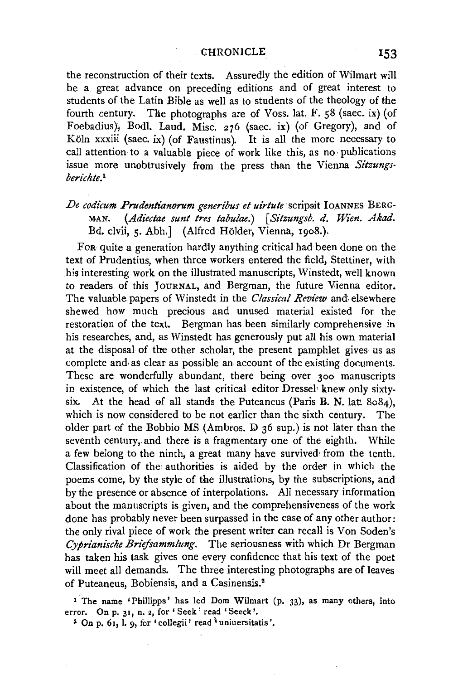#### CHRONICLE **153**

the reconstruction of their texts. Assuredly the edition of Wilmart will be a great advance on preceding editions and of great interest to students of the Latin Bible as well as to students of the theology of the fourth century. The photographs are of Voss. lat. F. 58 (saec. ix) (of Foebadius); Bodl. Laud. Misc. 276 (saec. ix) (of Gregory), and of Köln xxxiii (saec. ix) (of Faustinus). It is all the more necessary to call attention to a valuable piece of work like this, as no· publications issue more unobtrusively from the press than the Vienna *Sitzungsberichte.1* 

## De codicum Prudentianorum generibus et uirtute scripsit IOANNES BERG-MAN. *(Adiectae sunt tres tabulae.)* [ *Sitzungsb. d. Wien. Akad.*  Bd. clvii, 5. Abh.] (Alfred Hölder, Vienna, 1908.),

FoR quite a generation hardly anything critical had been done on the text of Prudentius, when three workers entered the field, Stettiner, with his interesting work on the illustrated manuscripts, Winstedt, well known to readers of this JOURNAL, and Bergman, the future Vienna editor. The valuable papers of Winstedt in the *Classical Review* and. elsewhere shewed how much precious and unused material existed for the restoration of the text. Bergman has been similarly comprehensive in his researches, and, as Winstedt has generously put all his own material at the disposal of the other scholar, the present pamphlet gives· us as complete and· as clear as possible an account of the existing documents. These are wonderfully abundant, there being over 300 manuscripts in existence, of which the last critical editor Dressel<sup>*knew only sixty-*</sup> six. At the head of all stands the Puteaneus (Paris B. N. lat.  $8084$ ), which is now considered to be not earlier than the sixth century. The older part of the Bobbio MS (Am bros. D 36 sup.) is not later than the seventh century, and there is a fragmentary one of the eighth. While a few belong to the ninth, a great many have survived• from the tenth. Classification of the authorities is aided by the order in which the poems come, by the style of the illustrations, by the subscriptions, and by the presence or absence of interpolations. All necessary information about the manuscripts is given, and the comprehensiveness of the work done has probably never been surpassed in the case of any other author: the only rival piece of work the present writer can recall is Von Soden's *Cyprianische Briefsammlung.* The seriousness with which Dr Bergman has taken his task gives one every confidence that his text of the poet will meet all demands. The three interesting photographs are of leaves of Puteaneus, Bobiensis, and a Casinensis.2

<sup>1</sup> The name 'Phillipps' has led Dom Wilmart (p. 33), as many others, into error. On p. 31, n. *z,* for ' Seek' read 'Seeck '.

<sup>2</sup> On p. 61, l. 9, for 'collegii' read  $\iota$  uniuersitatis'.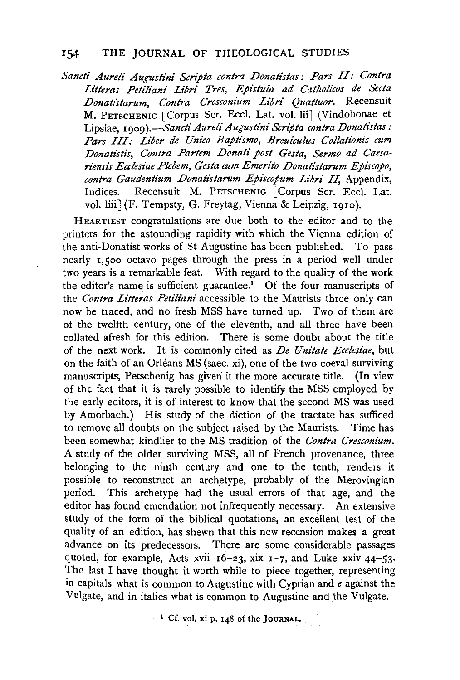### 154 THE JOURNAL OF THEOLOGICAL STUDIES

Sancti Aureli Augustini Scripta contra Donatistas: Pars II: Contra *Litteras Petiliani Libri Tres, Epistula ad Catholicos de Secta Donat/starum, Contra Cresconium Libri Quattuor.* Recensuit M. PETSCHENIG [Corpus Scr. Eccl. Lat. vol. Iii] (Vindobonae et Lipsiae, *1909).*-Sancti Aureli Augustini Scripta contra Donatistas: Pars III: Liber de Unico Baptismo, Breuiculus Collationis cum *Donatistis, Contra Partem Donati post Gesta, Sermo ad Caesan{msz's Ecclesiae Plebem, Gesta cum Emerito Donatistarum Episcopo, contra Gaudentium Donatistarum Episcopum Libri II,* Appendix, Indices. Recensuit M. PETSCHENIG Corpus Scr. Eccl. Lat. vol. liii] (F. Tempsty, G. Freytag, Vienna & Leipzig, 1910).

HEARTIEST congratulations are due both to the editor and to the printers for the astounding rapidity with which the Vienna edition of the anti-Donatist works of St Augustine has been published. To pass nearly 1,500 octavo pages through the press in a period well under two years is a remarkable feat. With regard to the quality of the work the editor's name is sufficient guarantee.<sup>1</sup> Of the four manuscripts of the *Contra Litteras Petiliani* accessible to the Maurists three only can now be traced, and no fresh MSS have turned up. Two of them are of the twelfth century, one of the eleventh, and all three have been collated afresh for this edition. There is some doubt about the title of the next work. It is commonly cited as *De Unitate Ecclesiae,* but on the faith of an Orléans MS (saec. xi), one of the two coeval surviving manuscripts, Petschenig has given it the more accurate title. (In view of the fact that it is rarely possible to identify the MSS employed by the early editors, it is of interest to know that the second MS was used by Amorbach.) His study of the diction of the tractate has sufficed to remove all doubts on the subject raised by the Maurists. Time has been somewhat kindlier to the MS tradition of the *Contra Cresconium.*  A study of the older surviving MSS, all of French provenance, three belonging to the ninth century and one to the tenth, renders it possible to reconstruct an archetype, probably of the Merovingian period. This archetype had the usual errors of that age, and the editor has found emendation not infrequently necessary. An extensive study of the form of the biblical quotations, an excellent test of the quality of an edition, has shewn that this new recension makes a great advance on its predecessors. There are some considerable passages quoted, for example, Acts xvii  $16-23$ , xix  $1-7$ , and Luke xxiv  $44-53$ . The last I have thought it worth while to piece together, representing in capitals what is common to Augustine with Cyprian and *e* against the Vulgate, and in italics what is common to Augustine and the Vulgate.

1 Cf. vol. xi p. I 48 of the JOURNAL.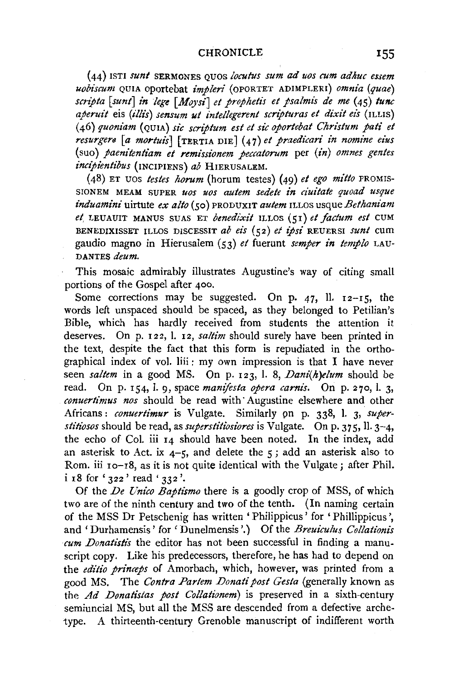(44) ISTI *sunt* SERl\IONES QUOS *loculus sum* ad *uos cum adhuc essem uobiscum* QUIA oportebat *impleri* (oPORTET ADIMPLERI) *omnia (quae) scripta [sunt] in lege [Moysi] et prophetis et psalmis de me* (45) *tunc aperuit* eis *(illis) sensum ut intellegerent scripturas et dixit eis* {ILLIS) (46) *quoniam* (QUIA) *sic scriptum est et sic oportebat Christum pati et resurgers* [a *mortuis*] [TERTIA DIE] (47) *et praedicari in nomine eius* (suo) *paenz"tentiam et remissionem peccatorum* per (in) *omnes gentes*   $incipientibus$  (INCIPIENS) *ab* HIERUSALEM.

(48) ET uos *testes horum* (horum testes) (49) *et ego mitto* PROMIS-SIONEM MEAM SUPER uos uos autem sedete in ciuitate quoad usque *induamini* uirtute *ex alto* (so) PRODUXIT *autem* ILLOS usque *Bethaniam*  e~ LEUAUIT MANUS SUAS ET *benedixif* ILLOS (51) *et factum est* CUM BENEDIXISSET ILLOS DISCESSIT *ab ezs* (52) *et ipsi* REUERSI *sunt* cum gaudio magno in Hierusalem (53) *et* fuerunt *semper in templo* LAU-DANTES *deum.* 

This mosaic admirably illustrates Augustine's way of citing small portions of the Gospel after 400.

Some corrections may be suggested. On p. 47, ll.  $12-15$ , the words left unspaced should be spaced, as they belonged to Petilian's Bible, which has hardly received from students the attention it deserves. On p. 122, 1. 12, *saltim* should surely have been printed in the text, despite the fact that this form is repudiated in the orthographical index of vol. liii: my own impression is that I have never seen *saltem* in a good MS. On p. 123, 1. 8, *Dani(h)elum* should be read. On p. 154, 1. 9, space *manifesta opera carnis.* On p. 270, 1. 3, *conuertimus nos* should be read with· Augustine elsewhere and other Africans: *conuertimur* is Vulgate. Similarly pn p. 338, l. 3, *superstitiosos* should be read, as *superstitiosiores* is Vulgate. On p. 375, ll. 3-4, the echo of Col. iii 14 should have been noted. In the index, add an asterisk to Act. ix  $4-5$ , and delete the  $5$ ; add an asterisk also to Rom. iii 10-18, as it is not quite identical with the Vulgate; after Phil. i 18 for '322' read '332 '.

Of the *De Unico Baptismo* there is a goodly crop of MSS, of which two are of the ninth century and two of the tenth. (In naming certain of the MSS Dr Petschenig has written 'Philippicus' for 'Phillippicus ', and' Durhamensis' for' Dunelmensis '.) Of the *Breuiculus Collationis cum Donatistis* the editor has not been successful in finding a manuscript copy. Like his predecessors, therefore, he has had to depend on the *editio princeps* of Amorbach, which, however, was printed from a good MS. The *Contra Partem Donati post Gesta* (generally known as the *Ad Donatistas post Collationem)* is preserved in a sixth-century semiuncial MS, but all the MSS are descended from a defective archetype. A thirteenth-century Grenoble manuscript of indifferent worth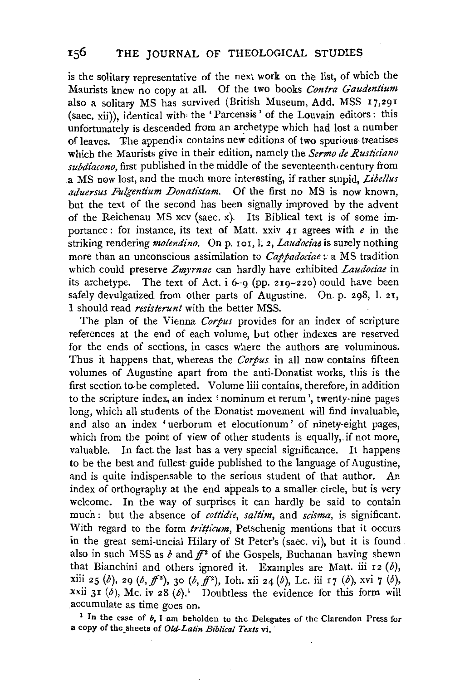is the solitary representative of the next work on the list, of which the Maurists knew no copy at all. Of the two books *Contra Gaudentium*  also a solitary MS has survived (British Museum, Add. MSS  $17,291$ (saec. xii)), identical with• the 'Parcensis' of the Louvain editors: this unfortunately is descended from an archetype which had lost a number of leaves. The appendix contains new editions of two spurious treatises which the Maurists give in their edition, namely the *Sermo de Rusticiano subdiacono,* first published in the middle of the seventeenth. century from a MS now lost, and the much more interesting, if rather stupid, *Libel/us aduersus Fulgentium Donati'stam.* Of the first no MS is. now known, but the text of the second has been signally improved by the advent of the Reichenau MS xcv (saec. x). Its Biblical text is of some importance: for instance, its text of Matt. xxiv 41 agrees with *e* in the striking rendering *molendino*. On p. 101, l. 2, Laudociae is surely nothing more than an unconscious assimilation to *Cappadociae*: a MS tradition which could preserve *Zmyrnae* can hardly have exhibited *Laudociae* in its archetype. The text of Act.  $i$  6-9 (pp. 219-220) could have been safely devulgatized from other parts of Augustine. On. p. 298, 1. 21, I should read *resisterunt* with the better MSS.

The plan of the Vienna *Corpus* provides for an index of scripture references at the end of each volume, but other indexes are reserved for the ends of sections, in cases where the authors are voluminous. Thus it happens that, whereas the *Corpus* in all now contains fifteen volumes of Augustine apart from the anti-Donatist works, this is the first section to be completed. Volume liii contains, therefore, in addition to the scripture index, an index 'nominum et rerum', twenty-nine pages long, which all students of the Donatist movement will find invaluable, and also an index 'uerborum et elocutionum' of ninety-eight pages, which from the point of view of other students is equally, if not more, valuable. In fact the last has a very special significance. It happens to be the best and fullest guide published to the language of Augustine, and is quite indispensable to the serious student of that author. An index of orthography at the end appeals to a smaller circle, but is very welcome. In the way of surprises it can hardly be said to contain much : but the absence of *cottidie*, *saltim*, and *scisma*, is significant. With regard to the form *tritticum*, Petschenig mentions that it occurs in the great semi-uncial Hilary of St Peter's (saec. vi), but it is found . also in such MSS as  $b$  and  $ff^2$  of the Gospels, Buchanan having shewn that Bianchini and others ignored it. Examples are Matt. iii 12  $(b)$ , xiii 25 (b), 29 (b,  $f^{2}$ ), 30 (b,  $f^{2}$ ), Ioh. xii 24 (b), Lc. iii 17 (b), xvi 7 (b), xxii 31 (b), Mc. iv 28 (b).<sup>1</sup> Doubtless the evidence for this form will accumulate as time goes on.

<sup>1</sup> In the case of *b*, I am beholden to the Delegates of the Clarendon Press for a copy of the sheets of *Old-Latin Biblical Texts* vi,